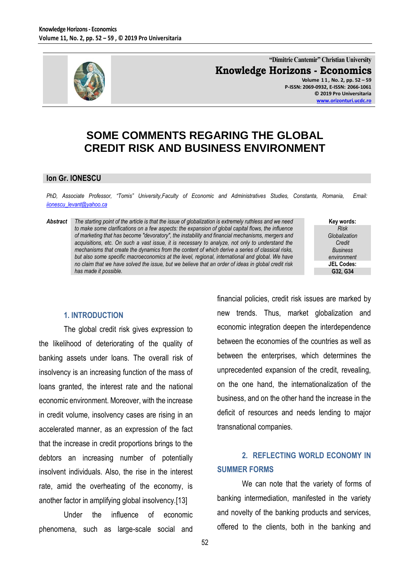

**"Dimitrie Cantemir" Christian University Knowledge Horizons - Economics Volume 1 1 , No. 2, pp. 52 – 59 P-ISSN: 2069-0932, E-ISSN: 2066-1061**

**© 2019 Pro Universitaria [www.orizonturi.ucdc.ro](http://www.orizonturi.ucdc.ro/)**

# **SOME COMMENTS REGARING THE GLOBAL CREDIT RISK AND BUSINESS ENVIRONMENT**

#### **Ion Gr. IONESCU**

*PhD, Associate Professor, "Tomis" University,Faculty of Economic and Administratives Studies, Constanta, Romania, Email: [iionescu\\_levant@yahoo.ca](mailto:iionescu_levant@yahoo.ca)* 

*Abstract The starting point of the article is that the issue of globalization is extremely ruthless and we need to make some clarifications on a few aspects: the expansion of global capital flows, the influence of marketing that has become "devoratory", the instability and financial mechanisms, mergers and acquisitions, etc. On such a vast issue, it is necessary to analyze, not only to understand the mechanisms that create the dynamics from the content of which derive a series of classical risks, but also some specific macroeconomics at the level, regional, international and global. We have no claim that we have solved the issue, but we believe that an order of ideas in global credit risk has made it possible.*

**Key words:** *Risk Globalization Credit Business environment* **JEL Codes: G32, G34**

#### **1. INTRODUCTION**

The global credit risk gives expression to the likelihood of deteriorating of the quality of banking assets under loans. The overall risk of insolvency is an increasing function of the mass of loans granted, the interest rate and the national economic environment. Moreover, with the increase in credit volume, insolvency cases are rising in an accelerated manner, as an expression of the fact that the increase in credit proportions brings to the debtors an increasing number of potentially insolvent individuals. Also, the rise in the interest rate, amid the overheating of the economy, is another factor in amplifying global insolvency.[13]

Under the influence of economic phenomena, such as large-scale social and financial policies, credit risk issues are marked by new trends. Thus, market globalization and economic integration deepen the interdependence between the economies of the countries as well as between the enterprises, which determines the unprecedented expansion of the credit, revealing, on the one hand, the internationalization of the business, and on the other hand the increase in the deficit of resources and needs lending to major transnational companies.

### **2. REFLECTING WORLD ECONOMY IN SUMMER FORMS**

We can note that the variety of forms of banking intermediation, manifested in the variety and novelty of the banking products and services, offered to the clients, both in the banking and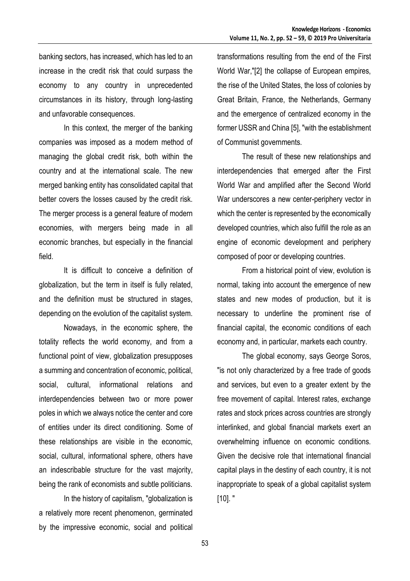banking sectors, has increased, which has led to an increase in the credit risk that could surpass the economy to any country in unprecedented circumstances in its history, through long-lasting and unfavorable consequences.

In this context, the merger of the banking companies was imposed as a modern method of managing the global credit risk, both within the country and at the international scale. The new merged banking entity has consolidated capital that better covers the losses caused by the credit risk. The merger process is a general feature of modern economies, with mergers being made in all economic branches, but especially in the financial field.

It is difficult to conceive a definition of globalization, but the term in itself is fully related, and the definition must be structured in stages, depending on the evolution of the capitalist system.

Nowadays, in the economic sphere, the totality reflects the world economy, and from a functional point of view, globalization presupposes a summing and concentration of economic, political, social, cultural, informational relations and interdependencies between two or more power poles in which we always notice the center and core of entities under its direct conditioning. Some of these relationships are visible in the economic, social, cultural, informational sphere, others have an indescribable structure for the vast majority, being the rank of economists and subtle politicians.

In the history of capitalism, "globalization is a relatively more recent phenomenon, germinated by the impressive economic, social and political transformations resulting from the end of the First World War,"[2] the collapse of European empires, the rise of the United States, the loss of colonies by Great Britain, France, the Netherlands, Germany and the emergence of centralized economy in the former USSR and China [5], "with the establishment of Communist governments.

The result of these new relationships and interdependencies that emerged after the First World War and amplified after the Second World War underscores a new center-periphery vector in which the center is represented by the economically developed countries, which also fulfill the role as an engine of economic development and periphery composed of poor or developing countries.

From a historical point of view, evolution is normal, taking into account the emergence of new states and new modes of production, but it is necessary to underline the prominent rise of financial capital, the economic conditions of each economy and, in particular, markets each country.

The global economy, says George Soros, "is not only characterized by a free trade of goods and services, but even to a greater extent by the free movement of capital. Interest rates, exchange rates and stock prices across countries are strongly interlinked, and global financial markets exert an overwhelming influence on economic conditions. Given the decisive role that international financial capital plays in the destiny of each country, it is not inappropriate to speak of a global capitalist system [10]. "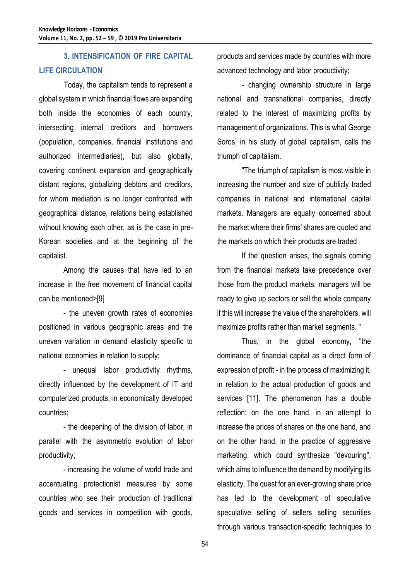## **3. INTENSIFICATION OF FIRE CAPITAL LIFE CIRCULATION**

Today, the capitalism tends to represent a global system in which financial flows are expanding both inside the economies of each country, intersecting internal creditors and borrowers (population, companies, financial institutions and authorized intermediaries), but also globally, covering continent expansion and geographically distant regions, globalizing debtors and creditors, for whom mediation is no longer confronted with geographical distance, relations being established without knowing each other, as is the case in pre-Korean societies and at the beginning of the capitalist.

Among the causes that have led to an increase in the free movement of financial capital can be mentioned>[9]

- the uneven growth rates of economies positioned in various geographic areas and the uneven variation in demand elasticity specific to national economies in relation to supply;

- unequal labor productivity rhythms, directly influenced by the development of IT and computerized products, in economically developed countries;

- the deepening of the division of labor, in parallel with the asymmetric evolution of labor productivity;

- increasing the volume of world trade and accentuating protectionist measures by some countries who see their production of traditional goods and services in competition with goods,

products and services made by countries with more advanced technology and labor productivity;

- changing ownership structure in large national and transnational companies, directly related to the interest of maximizing profits by management of organizations. This is what George Soros, in his study of global capitalism, calls the triumph of capitalism.

"The triumph of capitalism is most visible in increasing the number and size of publicly traded companies in national and international capital markets. Managers are equally concerned about the market where their firms' shares are quoted and the markets on which their products are traded

If the question arises, the signals coming from the financial markets take precedence over those from the product markets: managers will be ready to give up sectors or sell the whole company if this will increase the value of the shareholders, will maximize profits rather than market segments. "

Thus, in the global economy, "the dominance of financial capital as a direct form of expression of profit - in the process of maximizing it, in relation to the actual production of goods and services [11]. The phenomenon has a double reflection: on the one hand, in an attempt to increase the prices of shares on the one hand, and on the other hand, in the practice of aggressive marketing, which could synthesize "devouring", which aims to influence the demand by modifying its elasticity. The quest for an ever-growing share price has led to the development of speculative speculative selling of sellers selling securities through various transaction-specific techniques to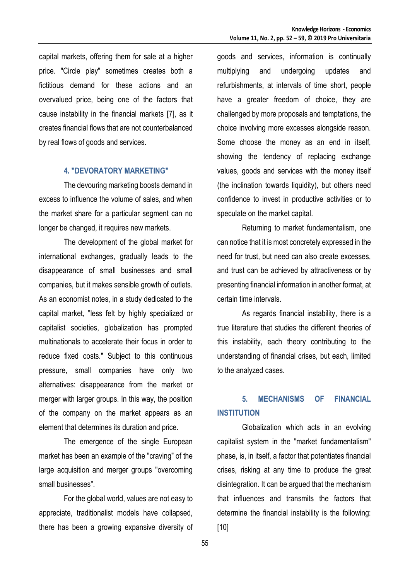capital markets, offering them for sale at a higher price. "Circle play" sometimes creates both a fictitious demand for these actions and an overvalued price, being one of the factors that cause instability in the financial markets [7], as it creates financial flows that are not counterbalanced by real flows of goods and services.

### **4. "DEVORATORY MARKETING"**

The devouring marketing boosts demand in excess to influence the volume of sales, and when the market share for a particular segment can no longer be changed, it requires new markets.

The development of the global market for international exchanges, gradually leads to the disappearance of small businesses and small companies, but it makes sensible growth of outlets. As an economist notes, in a study dedicated to the capital market, "less felt by highly specialized or capitalist societies, globalization has prompted multinationals to accelerate their focus in order to reduce fixed costs." Subject to this continuous pressure, small companies have only two alternatives: disappearance from the market or merger with larger groups. In this way, the position of the company on the market appears as an element that determines its duration and price.

The emergence of the single European market has been an example of the "craving" of the large acquisition and merger groups "overcoming small businesses".

For the global world, values are not easy to appreciate, traditionalist models have collapsed, there has been a growing expansive diversity of goods and services, information is continually multiplying and undergoing updates and refurbishments, at intervals of time short, people have a greater freedom of choice, they are challenged by more proposals and temptations, the choice involving more excesses alongside reason. Some choose the money as an end in itself, showing the tendency of replacing exchange values, goods and services with the money itself (the inclination towards liquidity), but others need confidence to invest in productive activities or to speculate on the market capital.

Returning to market fundamentalism, one can notice that it is most concretely expressed in the need for trust, but need can also create excesses, and trust can be achieved by attractiveness or by presenting financial information in another format, at certain time intervals.

As regards financial instability, there is a true literature that studies the different theories of this instability, each theory contributing to the understanding of financial crises, but each, limited to the analyzed cases.

## **5. MECHANISMS OF FINANCIAL INSTITUTION**

Globalization which acts in an evolving capitalist system in the "market fundamentalism" phase, is, in itself, a factor that potentiates financial crises, risking at any time to produce the great disintegration. It can be argued that the mechanism that influences and transmits the factors that determine the financial instability is the following: [10]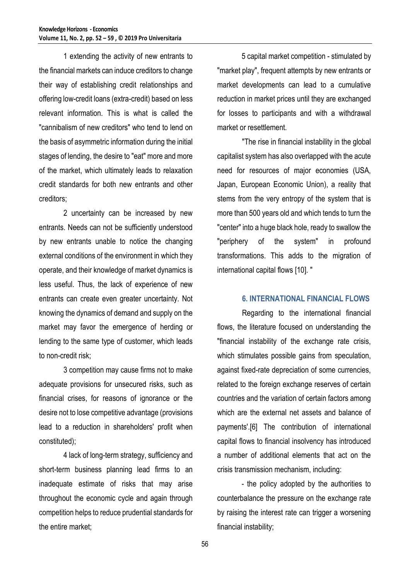1 extending the activity of new entrants to the financial markets can induce creditors to change their way of establishing credit relationships and offering low-credit loans (extra-credit) based on less relevant information. This is what is called the "cannibalism of new creditors" who tend to lend on the basis of asymmetric information during the initial stages of lending, the desire to "eat" more and more of the market, which ultimately leads to relaxation credit standards for both new entrants and other creditors;

2 uncertainty can be increased by new entrants. Needs can not be sufficiently understood by new entrants unable to notice the changing external conditions of the environment in which they operate, and their knowledge of market dynamics is less useful. Thus, the lack of experience of new entrants can create even greater uncertainty. Not knowing the dynamics of demand and supply on the market may favor the emergence of herding or lending to the same type of customer, which leads to non-credit risk;

3 competition may cause firms not to make adequate provisions for unsecured risks, such as financial crises, for reasons of ignorance or the desire not to lose competitive advantage (provisions lead to a reduction in shareholders' profit when constituted);

4 lack of long-term strategy, sufficiency and short-term business planning lead firms to an inadequate estimate of risks that may arise throughout the economic cycle and again through competition helps to reduce prudential standards for the entire market;

5 capital market competition - stimulated by "market play", frequent attempts by new entrants or market developments can lead to a cumulative reduction in market prices until they are exchanged for losses to participants and with a withdrawal market or resettlement.

"The rise in financial instability in the global capitalist system has also overlapped with the acute need for resources of major economies (USA, Japan, European Economic Union), a reality that stems from the very entropy of the system that is more than 500 years old and which tends to turn the "center" into a huge black hole, ready to swallow the "periphery of the system" in profound transformations. This adds to the migration of international capital flows [10]. "

### **6. INTERNATIONAL FINANCIAL FLOWS**

Regarding to the international financial flows, the literature focused on understanding the "financial instability of the exchange rate crisis, which stimulates possible gains from speculation, against fixed-rate depreciation of some currencies, related to the foreign exchange reserves of certain countries and the variation of certain factors among which are the external net assets and balance of payments'.[6] The contribution of international capital flows to financial insolvency has introduced a number of additional elements that act on the crisis transmission mechanism, including:

- the policy adopted by the authorities to counterbalance the pressure on the exchange rate by raising the interest rate can trigger a worsening financial instability;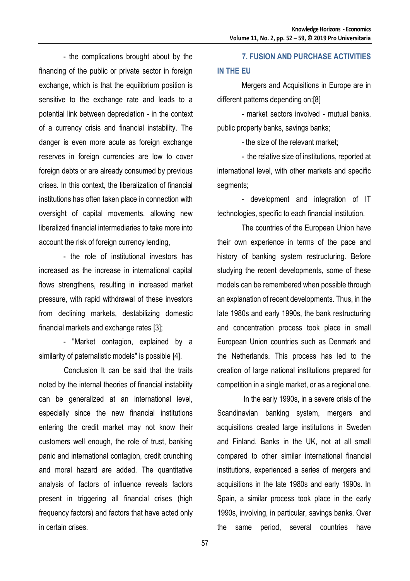- the complications brought about by the financing of the public or private sector in foreign exchange, which is that the equilibrium position is sensitive to the exchange rate and leads to a potential link between depreciation - in the context of a currency crisis and financial instability. The danger is even more acute as foreign exchange reserves in foreign currencies are low to cover foreign debts or are already consumed by previous crises. In this context, the liberalization of financial institutions has often taken place in connection with oversight of capital movements, allowing new liberalized financial intermediaries to take more into account the risk of foreign currency lending,

- the role of institutional investors has increased as the increase in international capital flows strengthens, resulting in increased market pressure, with rapid withdrawal of these investors from declining markets, destabilizing domestic financial markets and exchange rates [3];

- "Market contagion, explained by a similarity of paternalistic models" is possible [4].

Conclusion It can be said that the traits noted by the internal theories of financial instability can be generalized at an international level, especially since the new financial institutions entering the credit market may not know their customers well enough, the role of trust, banking panic and international contagion, credit crunching and moral hazard are added. The quantitative analysis of factors of influence reveals factors present in triggering all financial crises (high frequency factors) and factors that have acted only in certain crises.

## **7. FUSION AND PURCHASE ACTIVITIES IN THE EU**

Mergers and Acquisitions in Europe are in different patterns depending on:[8]

- market sectors involved - mutual banks, public property banks, savings banks;

- the size of the relevant market;

- the relative size of institutions, reported at international level, with other markets and specific segments;

- development and integration of IT technologies, specific to each financial institution.

The countries of the European Union have their own experience in terms of the pace and history of banking system restructuring. Before studying the recent developments, some of these models can be remembered when possible through an explanation of recent developments. Thus, in the late 1980s and early 1990s, the bank restructuring and concentration process took place in small European Union countries such as Denmark and the Netherlands. This process has led to the creation of large national institutions prepared for competition in a single market, or as a regional one.

In the early 1990s, in a severe crisis of the Scandinavian banking system, mergers and acquisitions created large institutions in Sweden and Finland. Banks in the UK, not at all small compared to other similar international financial institutions, experienced a series of mergers and acquisitions in the late 1980s and early 1990s. In Spain, a similar process took place in the early 1990s, involving, in particular, savings banks. Over the same period, several countries have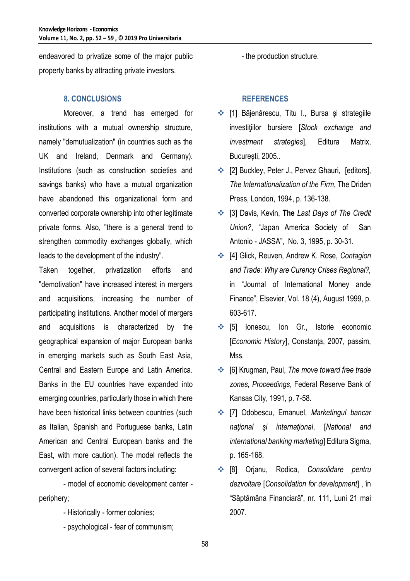endeavored to privatize some of the major public property banks by attracting private investors.

### **8. CONCLUSIONS**

Moreover, a trend has emerged for institutions with a mutual ownership structure, namely "demutualization" (in countries such as the UK and Ireland, Denmark and Germany). Institutions (such as construction societies and savings banks) who have a mutual organization have abandoned this organizational form and converted corporate ownership into other legitimate private forms. Also, "there is a general trend to strengthen commodity exchanges globally, which leads to the development of the industry".

Taken together, privatization efforts and "demotivation" have increased interest in mergers and acquisitions, increasing the number of participating institutions. Another model of mergers and acquisitions is characterized by the geographical expansion of major European banks in emerging markets such as South East Asia, Central and Eastern Europe and Latin America. Banks in the EU countries have expanded into emerging countries, particularly those in which there have been historical links between countries (such as Italian, Spanish and Portuguese banks, Latin American and Central European banks and the East, with more caution). The model reflects the convergent action of several factors including:

- model of economic development center periphery;

- Historically former colonies;
- psychological fear of communism;

- the production structure.

### **REFERENCES**

- ◆ [1] Băjenărescu, Titu I., Bursa și strategiile investiţiilor bursiere [*Stock exchange and investment strategies*], Editura Matrix, Bucureşti, 2005..
- ◆ [2] Buckley, Peter J., Pervez Ghauri, [editors], *The Internationalization of the Firm*, The Driden Press, London, 1994, p. 136-138.
- [3] Davis, Kevin, **The** *Last Days of The Credit Union?*, "Japan America Society of San Antonio - JASSA", No. 3, 1995, p. 30-31.
- [4] Glick, Reuven, Andrew K. Rose, *Contagion and Trade: Why are Curency Crises Regional?,* in "Journal of International Money ande Finance", Elsevier, Vol. 18 (4), August 1999, p. 603-617.
- **❖** [5] Ionescu, Ion Gr., Istorie economic [*Economic History*], Constanţa, 2007, passim, Mss.
- [6] Krugman, Paul, *The move toward free trade zones, Proceedings*, Federal Reserve Bank of Kansas City, 1991, p. 7-58.
- [7] Odobescu, Emanuel, *Marketingul bancar naţional şi internaţional*, [*National and international banking marketing*] Editura Sigma, p. 165-168.
- [8] Orjanu, Rodica, *Consolidare pentru dezvoltare* [*Consolidation for development*] , în "Săptămâna Financiară", nr. 111, Luni 21 mai 2007.